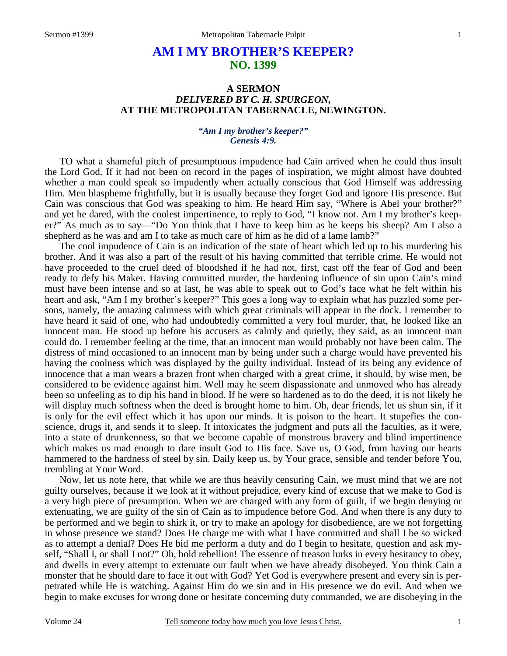# **AM I MY BROTHER'S KEEPER? NO. 1399**

## **A SERMON**  *DELIVERED BY C. H. SPURGEON,*  **AT THE METROPOLITAN TABERNACLE, NEWINGTON.**

#### *"Am I my brother's keeper?" Genesis 4:9.*

TO what a shameful pitch of presumptuous impudence had Cain arrived when he could thus insult the Lord God. If it had not been on record in the pages of inspiration, we might almost have doubted whether a man could speak so impudently when actually conscious that God Himself was addressing Him. Men blaspheme frightfully, but it is usually because they forget God and ignore His presence. But Cain was conscious that God was speaking to him. He heard Him say, "Where is Abel your brother?" and yet he dared, with the coolest impertinence, to reply to God, "I know not. Am I my brother's keeper?" As much as to say—"Do You think that I have to keep him as he keeps his sheep? Am I also a shepherd as he was and am I to take as much care of him as he did of a lame lamb?"

The cool impudence of Cain is an indication of the state of heart which led up to his murdering his brother. And it was also a part of the result of his having committed that terrible crime. He would not have proceeded to the cruel deed of bloodshed if he had not, first, cast off the fear of God and been ready to defy his Maker. Having committed murder, the hardening influence of sin upon Cain's mind must have been intense and so at last, he was able to speak out to God's face what he felt within his heart and ask, "Am I my brother's keeper?" This goes a long way to explain what has puzzled some persons, namely, the amazing calmness with which great criminals will appear in the dock. I remember to have heard it said of one, who had undoubtedly committed a very foul murder, that, he looked like an innocent man. He stood up before his accusers as calmly and quietly, they said, as an innocent man could do. I remember feeling at the time, that an innocent man would probably not have been calm. The distress of mind occasioned to an innocent man by being under such a charge would have prevented his having the coolness which was displayed by the guilty individual. Instead of its being any evidence of innocence that a man wears a brazen front when charged with a great crime, it should, by wise men, be considered to be evidence against him. Well may he seem dispassionate and unmoved who has already been so unfeeling as to dip his hand in blood. If he were so hardened as to do the deed, it is not likely he will display much softness when the deed is brought home to him. Oh, dear friends, let us shun sin, if it is only for the evil effect which it has upon our minds. It is poison to the heart. It stupefies the conscience, drugs it, and sends it to sleep. It intoxicates the judgment and puts all the faculties, as it were, into a state of drunkenness, so that we become capable of monstrous bravery and blind impertinence which makes us mad enough to dare insult God to His face. Save us, O God, from having our hearts hammered to the hardness of steel by sin. Daily keep us, by Your grace, sensible and tender before You, trembling at Your Word.

Now, let us note here, that while we are thus heavily censuring Cain, we must mind that we are not guilty ourselves, because if we look at it without prejudice, every kind of excuse that we make to God is a very high piece of presumption. When we are charged with any form of guilt, if we begin denying or extenuating, we are guilty of the sin of Cain as to impudence before God. And when there is any duty to be performed and we begin to shirk it, or try to make an apology for disobedience, are we not forgetting in whose presence we stand? Does He charge me with what I have committed and shall I be so wicked as to attempt a denial? Does He bid me perform a duty and do I begin to hesitate, question and ask myself, "Shall I, or shall I not?" Oh, bold rebellion! The essence of treason lurks in every hesitancy to obey, and dwells in every attempt to extenuate our fault when we have already disobeyed. You think Cain a monster that he should dare to face it out with God? Yet God is everywhere present and every sin is perpetrated while He is watching. Against Him do we sin and in His presence we do evil. And when we begin to make excuses for wrong done or hesitate concerning duty commanded, we are disobeying in the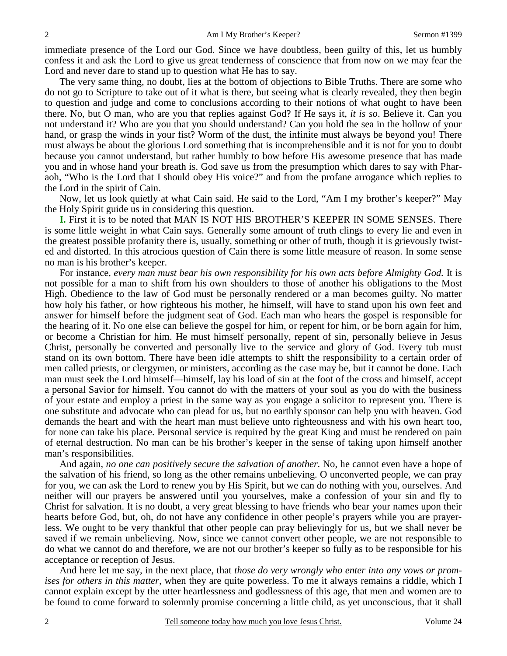immediate presence of the Lord our God. Since we have doubtless, been guilty of this, let us humbly confess it and ask the Lord to give us great tenderness of conscience that from now on we may fear the Lord and never dare to stand up to question what He has to say.

The very same thing, no doubt, lies at the bottom of objections to Bible Truths. There are some who do not go to Scripture to take out of it what is there, but seeing what is clearly revealed, they then begin to question and judge and come to conclusions according to their notions of what ought to have been there. No, but O man, who are you that replies against God? If He says it, *it is so*. Believe it. Can you not understand it? Who are you that you should understand? Can you hold the sea in the hollow of your hand, or grasp the winds in your fist? Worm of the dust, the infinite must always be beyond you! There must always be about the glorious Lord something that is incomprehensible and it is not for you to doubt because you cannot understand, but rather humbly to bow before His awesome presence that has made you and in whose hand your breath is. God save us from the presumption which dares to say with Pharaoh, "Who is the Lord that I should obey His voice?" and from the profane arrogance which replies to the Lord in the spirit of Cain.

Now, let us look quietly at what Cain said. He said to the Lord, "Am I my brother's keeper?" May the Holy Spirit guide us in considering this question.

**I.** First it is to be noted that MAN IS NOT HIS BROTHER'S KEEPER IN SOME SENSES. There is some little weight in what Cain says. Generally some amount of truth clings to every lie and even in the greatest possible profanity there is, usually, something or other of truth, though it is grievously twisted and distorted. In this atrocious question of Cain there is some little measure of reason. In some sense no man is his brother's keeper.

For instance, *every man must bear his own responsibility for his own acts before Almighty God.* It is not possible for a man to shift from his own shoulders to those of another his obligations to the Most High. Obedience to the law of God must be personally rendered or a man becomes guilty. No matter how holy his father, or how righteous his mother, he himself, will have to stand upon his own feet and answer for himself before the judgment seat of God. Each man who hears the gospel is responsible for the hearing of it. No one else can believe the gospel for him, or repent for him, or be born again for him, or become a Christian for him. He must himself personally, repent of sin, personally believe in Jesus Christ, personally be converted and personally live to the service and glory of God. Every tub must stand on its own bottom. There have been idle attempts to shift the responsibility to a certain order of men called priests, or clergymen, or ministers, according as the case may be, but it cannot be done. Each man must seek the Lord himself—himself, lay his load of sin at the foot of the cross and himself, accept a personal Savior for himself. You cannot do with the matters of your soul as you do with the business of your estate and employ a priest in the same way as you engage a solicitor to represent you. There is one substitute and advocate who can plead for us, but no earthly sponsor can help you with heaven. God demands the heart and with the heart man must believe unto righteousness and with his own heart too, for none can take his place. Personal service is required by the great King and must be rendered on pain of eternal destruction. No man can be his brother's keeper in the sense of taking upon himself another man's responsibilities.

And again, *no one can positively secure the salvation of another.* No, he cannot even have a hope of the salvation of his friend, so long as the other remains unbelieving. O unconverted people, we can pray for you, we can ask the Lord to renew you by His Spirit, but we can do nothing with you, ourselves. And neither will our prayers be answered until you yourselves, make a confession of your sin and fly to Christ for salvation. It is no doubt, a very great blessing to have friends who bear your names upon their hearts before God, but, oh, do not have any confidence in other people's prayers while you are prayerless. We ought to be very thankful that other people can pray believingly for us, but we shall never be saved if we remain unbelieving. Now, since we cannot convert other people, we are not responsible to do what we cannot do and therefore, we are not our brother's keeper so fully as to be responsible for his acceptance or reception of Jesus.

And here let me say, in the next place, that *those do very wrongly who enter into any vows or promises for others in this matter,* when they are quite powerless. To me it always remains a riddle, which I cannot explain except by the utter heartlessness and godlessness of this age, that men and women are to be found to come forward to solemnly promise concerning a little child, as yet unconscious, that it shall

2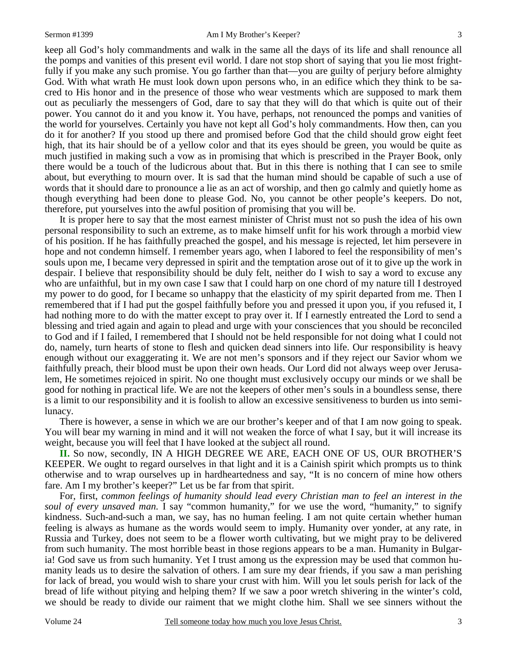3

keep all God's holy commandments and walk in the same all the days of its life and shall renounce all the pomps and vanities of this present evil world. I dare not stop short of saying that you lie most frightfully if you make any such promise. You go farther than that—you are guilty of perjury before almighty God. With what wrath He must look down upon persons who, in an edifice which they think to be sacred to His honor and in the presence of those who wear vestments which are supposed to mark them out as peculiarly the messengers of God, dare to say that they will do that which is quite out of their power. You cannot do it and you know it. You have, perhaps, not renounced the pomps and vanities of the world for yourselves. Certainly you have not kept all God's holy commandments. How then, can you do it for another? If you stood up there and promised before God that the child should grow eight feet high, that its hair should be of a yellow color and that its eyes should be green, you would be quite as much justified in making such a vow as in promising that which is prescribed in the Prayer Book, only there would be a touch of the ludicrous about that. But in this there is nothing that I can see to smile about, but everything to mourn over. It is sad that the human mind should be capable of such a use of words that it should dare to pronounce a lie as an act of worship, and then go calmly and quietly home as though everything had been done to please God. No, you cannot be other people's keepers. Do not, therefore, put yourselves into the awful position of promising that you will be.

It is proper here to say that the most earnest minister of Christ must not so push the idea of his own personal responsibility to such an extreme, as to make himself unfit for his work through a morbid view of his position. If he has faithfully preached the gospel, and his message is rejected, let him persevere in hope and not condemn himself. I remember years ago, when I labored to feel the responsibility of men's souls upon me, I became very depressed in spirit and the temptation arose out of it to give up the work in despair. I believe that responsibility should be duly felt, neither do I wish to say a word to excuse any who are unfaithful, but in my own case I saw that I could harp on one chord of my nature till I destroyed my power to do good, for I became so unhappy that the elasticity of my spirit departed from me. Then I remembered that if I had put the gospel faithfully before you and pressed it upon you, if you refused it, I had nothing more to do with the matter except to pray over it. If I earnestly entreated the Lord to send a blessing and tried again and again to plead and urge with your consciences that you should be reconciled to God and if I failed, I remembered that I should not be held responsible for not doing what I could not do, namely, turn hearts of stone to flesh and quicken dead sinners into life. Our responsibility is heavy enough without our exaggerating it. We are not men's sponsors and if they reject our Savior whom we faithfully preach, their blood must be upon their own heads. Our Lord did not always weep over Jerusalem, He sometimes rejoiced in spirit. No one thought must exclusively occupy our minds or we shall be good for nothing in practical life. We are not the keepers of other men's souls in a boundless sense, there is a limit to our responsibility and it is foolish to allow an excessive sensitiveness to burden us into semilunacy.

There is however, a sense in which we are our brother's keeper and of that I am now going to speak. You will bear my warning in mind and it will not weaken the force of what I say, but it will increase its weight, because you will feel that I have looked at the subject all round.

**II.** So now, secondly, IN A HIGH DEGREE WE ARE, EACH ONE OF US, OUR BROTHER'S KEEPER. We ought to regard ourselves in that light and it is a Cainish spirit which prompts us to think otherwise and to wrap ourselves up in hardheartedness and say, "It is no concern of mine how others fare. Am I my brother's keeper?" Let us be far from that spirit.

For, first, *common feelings of humanity should lead every Christian man to feel an interest in the soul of every unsaved man.* I say "common humanity," for we use the word, "humanity," to signify kindness. Such-and-such a man, we say, has no human feeling. I am not quite certain whether human feeling is always as humane as the words would seem to imply. Humanity over yonder, at any rate, in Russia and Turkey, does not seem to be a flower worth cultivating, but we might pray to be delivered from such humanity. The most horrible beast in those regions appears to be a man. Humanity in Bulgaria! God save us from such humanity. Yet I trust among us the expression may be used that common humanity leads us to desire the salvation of others. I am sure my dear friends, if you saw a man perishing for lack of bread, you would wish to share your crust with him. Will you let souls perish for lack of the bread of life without pitying and helping them? If we saw a poor wretch shivering in the winter's cold, we should be ready to divide our raiment that we might clothe him. Shall we see sinners without the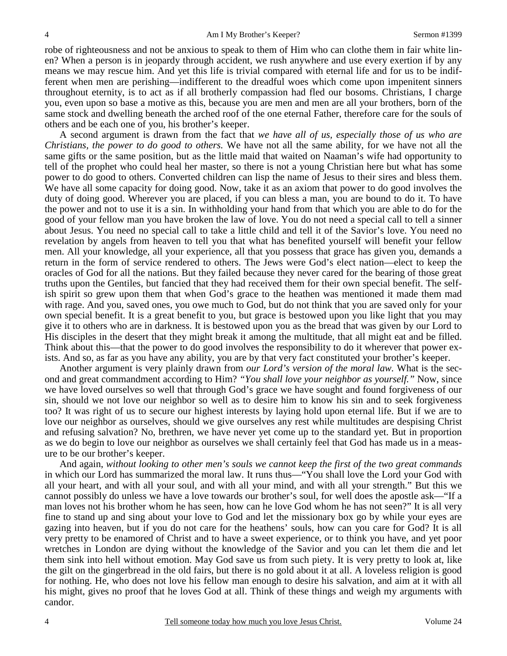robe of righteousness and not be anxious to speak to them of Him who can clothe them in fair white linen? When a person is in jeopardy through accident, we rush anywhere and use every exertion if by any means we may rescue him. And yet this life is trivial compared with eternal life and for us to be indifferent when men are perishing—indifferent to the dreadful woes which come upon impenitent sinners throughout eternity, is to act as if all brotherly compassion had fled our bosoms. Christians, I charge you, even upon so base a motive as this, because you are men and men are all your brothers, born of the same stock and dwelling beneath the arched roof of the one eternal Father, therefore care for the souls of others and be each one of you, his brother's keeper.

A second argument is drawn from the fact that *we have all of us, especially those of us who are Christians, the power to do good to others.* We have not all the same ability, for we have not all the same gifts or the same position, but as the little maid that waited on Naaman's wife had opportunity to tell of the prophet who could heal her master, so there is not a young Christian here but what has some power to do good to others. Converted children can lisp the name of Jesus to their sires and bless them. We have all some capacity for doing good. Now, take it as an axiom that power to do good involves the duty of doing good. Wherever you are placed, if you can bless a man, you are bound to do it. To have the power and not to use it is a sin. In withholding your hand from that which you are able to do for the good of your fellow man you have broken the law of love. You do not need a special call to tell a sinner about Jesus. You need no special call to take a little child and tell it of the Savior's love. You need no revelation by angels from heaven to tell you that what has benefited yourself will benefit your fellow men. All your knowledge, all your experience, all that you possess that grace has given you, demands a return in the form of service rendered to others. The Jews were God's elect nation—elect to keep the oracles of God for all the nations. But they failed because they never cared for the bearing of those great truths upon the Gentiles, but fancied that they had received them for their own special benefit. The selfish spirit so grew upon them that when God's grace to the heathen was mentioned it made them mad with rage. And you, saved ones, you owe much to God, but do not think that you are saved only for your own special benefit. It is a great benefit to you, but grace is bestowed upon you like light that you may give it to others who are in darkness. It is bestowed upon you as the bread that was given by our Lord to His disciples in the desert that they might break it among the multitude, that all might eat and be filled. Think about this—that the power to do good involves the responsibility to do it wherever that power exists. And so, as far as you have any ability, you are by that very fact constituted your brother's keeper.

Another argument is very plainly drawn from *our Lord's version of the moral law.* What is the second and great commandment according to Him? *"You shall love your neighbor as yourself."* Now, since we have loved ourselves so well that through God's grace we have sought and found forgiveness of our sin, should we not love our neighbor so well as to desire him to know his sin and to seek forgiveness too? It was right of us to secure our highest interests by laying hold upon eternal life. But if we are to love our neighbor as ourselves, should we give ourselves any rest while multitudes are despising Christ and refusing salvation? No, brethren, we have never yet come up to the standard yet. But in proportion as we do begin to love our neighbor as ourselves we shall certainly feel that God has made us in a measure to be our brother's keeper.

And again, *without looking to other men's souls we cannot keep the first of the two great commands* in which our Lord has summarized the moral law. It runs thus—"You shall love the Lord your God with all your heart, and with all your soul, and with all your mind, and with all your strength." But this we cannot possibly do unless we have a love towards our brother's soul, for well does the apostle ask—"If a man loves not his brother whom he has seen, how can he love God whom he has not seen?" It is all very fine to stand up and sing about your love to God and let the missionary box go by while your eyes are gazing into heaven, but if you do not care for the heathens' souls, how can you care for God? It is all very pretty to be enamored of Christ and to have a sweet experience, or to think you have, and yet poor wretches in London are dying without the knowledge of the Savior and you can let them die and let them sink into hell without emotion. May God save us from such piety. It is very pretty to look at, like the gilt on the gingerbread in the old fairs, but there is no gold about it at all. A loveless religion is good for nothing. He, who does not love his fellow man enough to desire his salvation, and aim at it with all his might, gives no proof that he loves God at all. Think of these things and weigh my arguments with candor.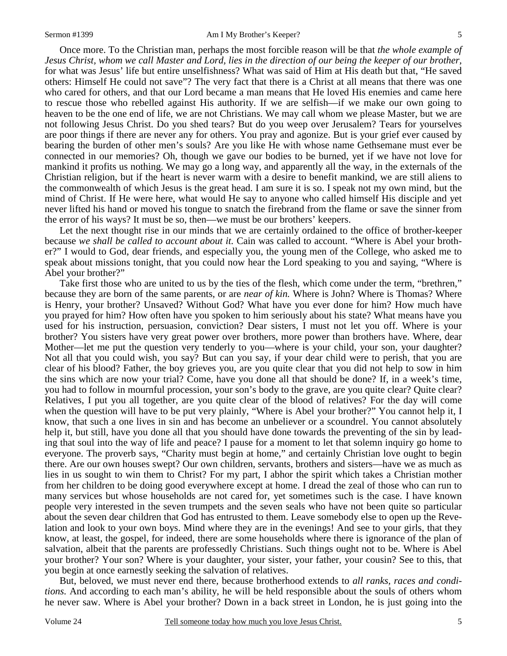Once more. To the Christian man, perhaps the most forcible reason will be that *the whole example of Jesus Christ, whom we call Master and Lord, lies in the direction of our being the keeper of our brother,* for what was Jesus' life but entire unselfishness? What was said of Him at His death but that, "He saved others: Himself He could not save"? The very fact that there is a Christ at all means that there was one who cared for others, and that our Lord became a man means that He loved His enemies and came here to rescue those who rebelled against His authority. If we are selfish—if we make our own going to heaven to be the one end of life, we are not Christians. We may call whom we please Master, but we are not following Jesus Christ. Do you shed tears? But do you weep over Jerusalem? Tears for yourselves are poor things if there are never any for others. You pray and agonize. But is your grief ever caused by bearing the burden of other men's souls? Are you like He with whose name Gethsemane must ever be connected in our memories? Oh, though we gave our bodies to be burned, yet if we have not love for mankind it profits us nothing. We may go a long way, and apparently all the way, in the externals of the Christian religion, but if the heart is never warm with a desire to benefit mankind, we are still aliens to the commonwealth of which Jesus is the great head. I am sure it is so. I speak not my own mind, but the mind of Christ. If He were here, what would He say to anyone who called himself His disciple and yet never lifted his hand or moved his tongue to snatch the firebrand from the flame or save the sinner from the error of his ways? It must be so, then—we must be our brothers' keepers.

Let the next thought rise in our minds that we are certainly ordained to the office of brother-keeper because *we shall be called to account about it.* Cain was called to account. "Where is Abel your brother?" I would to God, dear friends, and especially you, the young men of the College, who asked me to speak about missions tonight, that you could now hear the Lord speaking to you and saying, "Where is Abel your brother?"

Take first those who are united to us by the ties of the flesh, which come under the term, "brethren," because they are born of the same parents, or are *near of kin.* Where is John? Where is Thomas? Where is Henry, your brother? Unsaved? Without God? What have you ever done for him? How much have you prayed for him? How often have you spoken to him seriously about his state? What means have you used for his instruction, persuasion, conviction? Dear sisters, I must not let you off. Where is your brother? You sisters have very great power over brothers, more power than brothers have. Where, dear Mother—let me put the question very tenderly to you—where is your child, your son, your daughter? Not all that you could wish, you say? But can you say, if your dear child were to perish, that you are clear of his blood? Father, the boy grieves you, are you quite clear that you did not help to sow in him the sins which are now your trial? Come, have you done all that should be done? If, in a week's time, you had to follow in mournful procession, your son's body to the grave, are you quite clear? Quite clear? Relatives, I put you all together, are you quite clear of the blood of relatives? For the day will come when the question will have to be put very plainly, "Where is Abel your brother?" You cannot help it, I know, that such a one lives in sin and has become an unbeliever or a scoundrel. You cannot absolutely help it, but still, have you done all that you should have done towards the preventing of the sin by leading that soul into the way of life and peace? I pause for a moment to let that solemn inquiry go home to everyone. The proverb says, "Charity must begin at home," and certainly Christian love ought to begin there. Are our own houses swept? Our own children, servants, brothers and sisters—have we as much as lies in us sought to win them to Christ? For my part, I abhor the spirit which takes a Christian mother from her children to be doing good everywhere except at home. I dread the zeal of those who can run to many services but whose households are not cared for, yet sometimes such is the case. I have known people very interested in the seven trumpets and the seven seals who have not been quite so particular about the seven dear children that God has entrusted to them. Leave somebody else to open up the Revelation and look to your own boys. Mind where they are in the evenings! And see to your girls, that they know, at least, the gospel, for indeed, there are some households where there is ignorance of the plan of salvation, albeit that the parents are professedly Christians. Such things ought not to be. Where is Abel your brother? Your son? Where is your daughter, your sister, your father, your cousin? See to this, that you begin at once earnestly seeking the salvation of relatives.

But, beloved, we must never end there, because brotherhood extends to *all ranks, races and conditions.* And according to each man's ability, he will be held responsible about the souls of others whom he never saw. Where is Abel your brother? Down in a back street in London, he is just going into the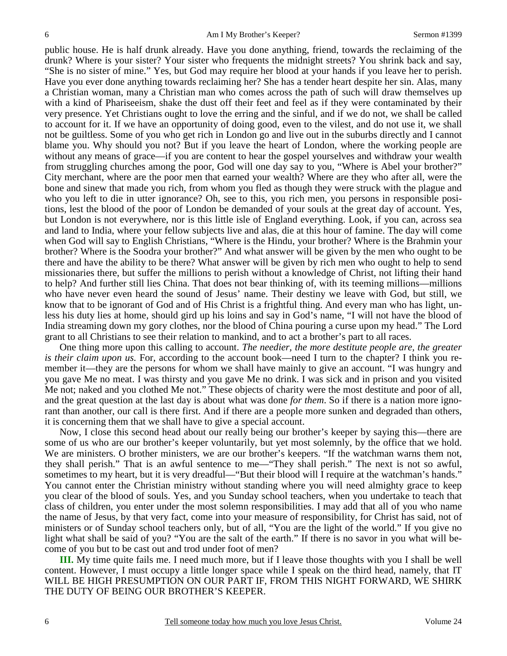public house. He is half drunk already. Have you done anything, friend, towards the reclaiming of the drunk? Where is your sister? Your sister who frequents the midnight streets? You shrink back and say, "She is no sister of mine." Yes, but God may require her blood at your hands if you leave her to perish. Have you ever done anything towards reclaiming her? She has a tender heart despite her sin. Alas, many a Christian woman, many a Christian man who comes across the path of such will draw themselves up with a kind of Phariseeism, shake the dust off their feet and feel as if they were contaminated by their very presence. Yet Christians ought to love the erring and the sinful, and if we do not, we shall be called to account for it. If we have an opportunity of doing good, even to the vilest, and do not use it, we shall not be guiltless. Some of you who get rich in London go and live out in the suburbs directly and I cannot blame you. Why should you not? But if you leave the heart of London, where the working people are without any means of grace—if you are content to hear the gospel yourselves and withdraw your wealth from struggling churches among the poor, God will one day say to you, "Where is Abel your brother?" City merchant, where are the poor men that earned your wealth? Where are they who after all, were the bone and sinew that made you rich, from whom you fled as though they were struck with the plague and who you left to die in utter ignorance? Oh, see to this, you rich men, you persons in responsible positions, lest the blood of the poor of London be demanded of your souls at the great day of account. Yes, but London is not everywhere, nor is this little isle of England everything. Look, if you can, across sea and land to India, where your fellow subjects live and alas, die at this hour of famine. The day will come when God will say to English Christians, "Where is the Hindu, your brother? Where is the Brahmin your brother? Where is the Soodra your brother?" And what answer will be given by the men who ought to be there and have the ability to be there? What answer will be given by rich men who ought to help to send missionaries there, but suffer the millions to perish without a knowledge of Christ, not lifting their hand to help? And further still lies China. That does not bear thinking of, with its teeming millions—millions who have never even heard the sound of Jesus' name. Their destiny we leave with God, but still, we know that to be ignorant of God and of His Christ is a frightful thing. And every man who has light, unless his duty lies at home, should gird up his loins and say in God's name, "I will not have the blood of India streaming down my gory clothes, nor the blood of China pouring a curse upon my head." The Lord grant to all Christians to see their relation to mankind, and to act a brother's part to all races.

One thing more upon this calling to account. *The needier, the more destitute people are, the greater is their claim upon us.* For, according to the account book—need I turn to the chapter? I think you remember it—they are the persons for whom we shall have mainly to give an account. "I was hungry and you gave Me no meat. I was thirsty and you gave Me no drink. I was sick and in prison and you visited Me not; naked and you clothed Me not." These objects of charity were the most destitute and poor of all, and the great question at the last day is about what was done *for them*. So if there is a nation more ignorant than another, our call is there first. And if there are a people more sunken and degraded than others, it is concerning them that we shall have to give a special account.

Now, I close this second head about our really being our brother's keeper by saying this—there are some of us who are our brother's keeper voluntarily, but yet most solemnly, by the office that we hold. We are ministers. O brother ministers, we are our brother's keepers. "If the watchman warns them not, they shall perish." That is an awful sentence to me—"They shall perish." The next is not so awful, sometimes to my heart, but it is very dreadful—"But their blood will I require at the watchman's hands." You cannot enter the Christian ministry without standing where you will need almighty grace to keep you clear of the blood of souls. Yes, and you Sunday school teachers, when you undertake to teach that class of children, you enter under the most solemn responsibilities. I may add that all of you who name the name of Jesus, by that very fact, come into your measure of responsibility, for Christ has said, not of ministers or of Sunday school teachers only, but of all, "You are the light of the world." If you give no light what shall be said of you? "You are the salt of the earth." If there is no savor in you what will become of you but to be cast out and trod under foot of men?

**III.** My time quite fails me. I need much more, but if I leave those thoughts with you I shall be well content. However, I must occupy a little longer space while I speak on the third head, namely, that IT WILL BE HIGH PRESUMPTION ON OUR PART IF, FROM THIS NIGHT FORWARD, WE SHIRK THE DUTY OF BEING OUR BROTHER'S KEEPER.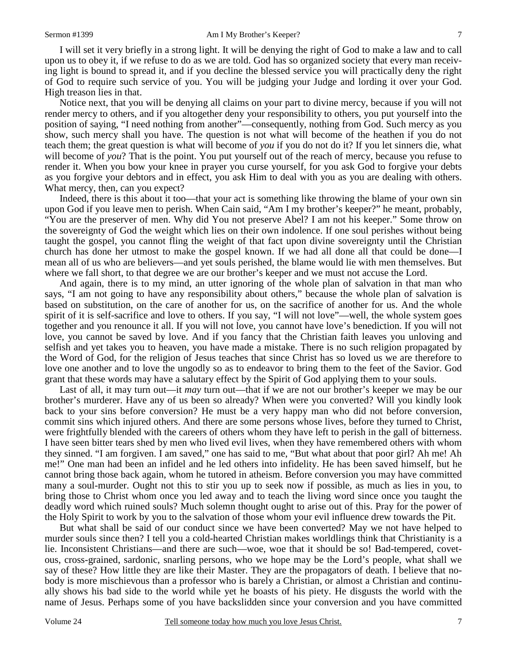I will set it very briefly in a strong light. It will be denying the right of God to make a law and to call upon us to obey it, if we refuse to do as we are told. God has so organized society that every man receiving light is bound to spread it, and if you decline the blessed service you will practically deny the right of God to require such service of you. You will be judging your Judge and lording it over your God. High treason lies in that.

Notice next, that you will be denying all claims on your part to divine mercy, because if you will not render mercy to others, and if you altogether deny your responsibility to others, you put yourself into the position of saying, "I need nothing from another"—consequently, nothing from God. Such mercy as you show, such mercy shall you have. The question is not what will become of the heathen if you do not teach them; the great question is what will become of *you* if you do not do it? If you let sinners die, what will become of *you*? That is the point. You put yourself out of the reach of mercy, because you refuse to render it. When you bow your knee in prayer you curse yourself, for you ask God to forgive your debts as you forgive your debtors and in effect, you ask Him to deal with you as you are dealing with others. What mercy, then, can you expect?

Indeed, there is this about it too—that your act is something like throwing the blame of your own sin upon God if you leave men to perish. When Cain said, "Am I my brother's keeper?" he meant, probably, "You are the preserver of men. Why did You not preserve Abel? I am not his keeper." Some throw on the sovereignty of God the weight which lies on their own indolence. If one soul perishes without being taught the gospel, you cannot fling the weight of that fact upon divine sovereignty until the Christian church has done her utmost to make the gospel known. If we had all done all that could be done—I mean all of us who are believers—and yet souls perished, the blame would lie with men themselves. But where we fall short, to that degree we are our brother's keeper and we must not accuse the Lord.

And again, there is to my mind, an utter ignoring of the whole plan of salvation in that man who says, "I am not going to have any responsibility about others," because the whole plan of salvation is based on substitution, on the care of another for us, on the sacrifice of another for us. And the whole spirit of it is self-sacrifice and love to others. If you say, "I will not love"—well, the whole system goes together and you renounce it all. If you will not love, you cannot have love's benediction. If you will not love, you cannot be saved by love. And if you fancy that the Christian faith leaves you unloving and selfish and yet takes you to heaven, you have made a mistake. There is no such religion propagated by the Word of God, for the religion of Jesus teaches that since Christ has so loved us we are therefore to love one another and to love the ungodly so as to endeavor to bring them to the feet of the Savior. God grant that these words may have a salutary effect by the Spirit of God applying them to your souls.

Last of all, it may turn out—it *may* turn out—that if we are not our brother's keeper we may be our brother's murderer. Have any of us been so already? When were you converted? Will you kindly look back to your sins before conversion? He must be a very happy man who did not before conversion, commit sins which injured others. And there are some persons whose lives, before they turned to Christ, were frightfully blended with the careers of others whom they have left to perish in the gall of bitterness. I have seen bitter tears shed by men who lived evil lives, when they have remembered others with whom they sinned. "I am forgiven. I am saved," one has said to me, "But what about that poor girl? Ah me! Ah me!" One man had been an infidel and he led others into infidelity. He has been saved himself, but he cannot bring those back again, whom he tutored in atheism. Before conversion you may have committed many a soul-murder. Ought not this to stir you up to seek now if possible, as much as lies in you, to bring those to Christ whom once you led away and to teach the living word since once you taught the deadly word which ruined souls? Much solemn thought ought to arise out of this. Pray for the power of the Holy Spirit to work by you to the salvation of those whom your evil influence drew towards the Pit.

But what shall be said of our conduct since we have been converted? May we not have helped to murder souls since then? I tell you a cold-hearted Christian makes worldlings think that Christianity is a lie. Inconsistent Christians—and there are such—woe, woe that it should be so! Bad-tempered, covetous, cross-grained, sardonic, snarling persons, who we hope may be the Lord's people, what shall we say of these? How little they are like their Master. They are the propagators of death. I believe that nobody is more mischievous than a professor who is barely a Christian, or almost a Christian and continually shows his bad side to the world while yet he boasts of his piety. He disgusts the world with the name of Jesus. Perhaps some of you have backslidden since your conversion and you have committed